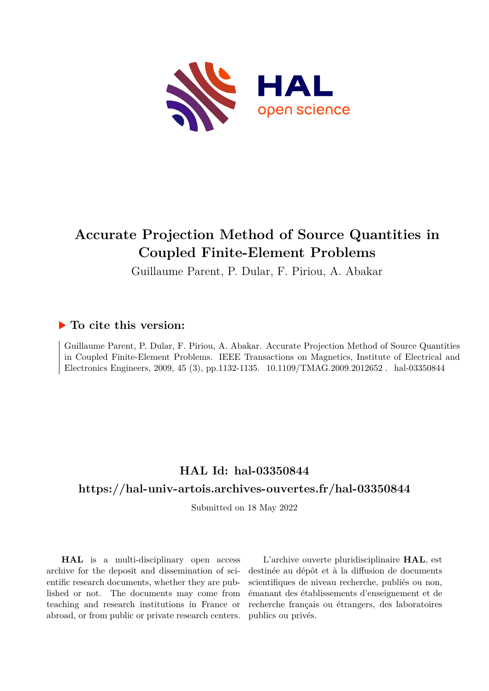

# **Accurate Projection Method of Source Quantities in Coupled Finite-Element Problems**

Guillaume Parent, P. Dular, F. Piriou, A. Abakar

# **To cite this version:**

Guillaume Parent, P. Dular, F. Piriou, A. Abakar. Accurate Projection Method of Source Quantities in Coupled Finite-Element Problems. IEEE Transactions on Magnetics, Institute of Electrical and Electronics Engineers, 2009, 45 (3), pp.1132-1135. 10.1109/TMAG.2009.2012652. hal-03350844

# **HAL Id: hal-03350844**

# **<https://hal-univ-artois.archives-ouvertes.fr/hal-03350844>**

Submitted on 18 May 2022

**HAL** is a multi-disciplinary open access archive for the deposit and dissemination of scientific research documents, whether they are published or not. The documents may come from teaching and research institutions in France or abroad, or from public or private research centers.

L'archive ouverte pluridisciplinaire **HAL**, est destinée au dépôt et à la diffusion de documents scientifiques de niveau recherche, publiés ou non, émanant des établissements d'enseignement et de recherche français ou étrangers, des laboratoires publics ou privés.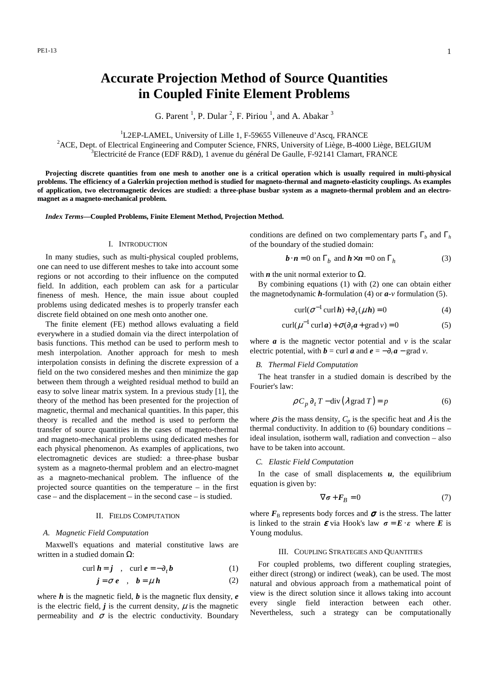# **Accurate Projection Method of Source Quantities in Coupled Finite Element Problems**

G. Parent<sup>1</sup>, P. Dular<sup>2</sup>, F. Piriou<sup>1</sup>, and A. Abakar<sup>3</sup>

<sup>1</sup>L2EP-LAMEL, University of Lille 1, F-59655 Villeneuve d'Ascq, FRANCE

<sup>2</sup>ACE, Dept. of Electrical Engineering and Computer Science, FNRS, University of Liège, B-4000 Liège, BELGIUM <sup>3</sup>Electricité de France (EDF R&D), 1 avenue du général De Gaulle, F-92141 Clamart, FRANCE

**Projecting discrete quantities from one mesh to another one is a critical operation which is usually required in multi-physical problems. The efficiency of a Galerkin projection method is studied for magneto-thermal and magneto-elasticity couplings. As examples of application, two electromagnetic devices are studied: a three-phase busbar system as a magneto-thermal problem and an electromagnet as a magneto-mechanical problem.** 

*Index Terms***—Coupled Problems, Finite Element Method, Projection Method.** 

#### I. INTRODUCTION

In many studies, such as multi-physical coupled problems, one can need to use different meshes to take into account some regions or not according to their influence on the computed field. In addition, each problem can ask for a particular fineness of mesh. Hence, the main issue about coupled problems using dedicated meshes is to properly transfer each discrete field obtained on one mesh onto another one.

The finite element (FE) method allows evaluating a field everywhere in a studied domain via the direct interpolation of basis functions. This method can be used to perform mesh to mesh interpolation. Another approach for mesh to mesh interpolation consists in defining the discrete expression of a field on the two considered meshes and then minimize the gap between them through a weighted residual method to build an easy to solve linear matrix system. In a previous study [1], the theory of the method has been presented for the projection of magnetic, thermal and mechanical quantities. In this paper, this theory is recalled and the method is used to perform the transfer of source quantities in the cases of magneto-thermal and magneto-mechanical problems using dedicated meshes for each physical phenomenon. As examples of applications, two electromagnetic devices are studied: a three-phase busbar system as a magneto-thermal problem and an electro-magnet as a magneto-mechanical problem. The influence of the projected source quantities on the temperature – in the first case – and the displacement – in the second case – is studied.

#### II. FIELDS COMPUTATION

## *A. Magnetic Field Computation*

Maxwell's equations and material constitutive laws are written in a studied domain  $Ω$ :

$$
\operatorname{curl} \boldsymbol{h} = \boldsymbol{j} \quad , \quad \operatorname{curl} \boldsymbol{e} = -\partial_t \boldsymbol{b} \tag{1}
$$

$$
j = \sigma e \quad , \quad b = \mu h \tag{2}
$$

where  $h$  is the magnetic field,  $b$  is the magnetic flux density,  $e$ is the electric field,  $\vec{j}$  is the current density,  $\mu$  is the magnetic permeability and  $\sigma$  is the electric conductivity. Boundary conditions are defined on two complementary parts  $\Gamma_b$  and  $\Gamma_h$ of the boundary of the studied domain:

$$
\boldsymbol{b} \cdot \boldsymbol{n} = 0 \text{ on } \Gamma_b \text{ and } \boldsymbol{h} \times \boldsymbol{n} = 0 \text{ on } \Gamma_h \tag{3}
$$

with *n* the unit normal exterior to  $\Omega$ .

By combining equations (1) with (2) one can obtain either the magnetodynamic *h*-formulation (4) or *a-v* formulation (5).

$$
\operatorname{curl}(\sigma^{-1}\operatorname{curl}\boldsymbol{h}) + \partial_t(\mu \, \boldsymbol{h}) = 0 \tag{4}
$$

$$
\operatorname{curl}(\mu^{-1}\operatorname{curl}a) + \sigma(\partial_t a + \operatorname{grad}v) = 0
$$
 (5)

where  $\boldsymbol{a}$  is the magnetic vector potential and  $\boldsymbol{v}$  is the scalar electric potential, with  $\mathbf{b} = \text{curl } \mathbf{a}$  and  $\mathbf{e} = -\partial_t \mathbf{a} - \text{grad } v$ .

#### *B. Thermal Field Computation*

The heat transfer in a studied domain is described by the Fourier's law:

$$
\rho C_p \partial_t T - \text{div} (\lambda \text{ grad } T) = p \tag{6}
$$

where  $\rho$  is the mass density,  $C_p$  is the specific heat and  $\lambda$  is the thermal conductivity. In addition to (6) boundary conditions – ideal insulation, isotherm wall, radiation and convection – also have to be taken into account.

### *C. Elastic Field Computation*

In the case of small displacements  $u$ , the equilibrium equation is given by:

$$
\nabla \sigma + \boldsymbol{F}_B = 0 \tag{7}
$$

where  $F_{\text{B}}$  represents body forces and  $\sigma$  is the stress. The latter is linked to the strain  $\boldsymbol{\varepsilon}$  via Hook's law  $\boldsymbol{\sigma} = \boldsymbol{E} \cdot \boldsymbol{\varepsilon}$  where  $\boldsymbol{E}$  is Young modulus.

#### III. COUPLING STRATEGIES AND QUANTITIES

For coupled problems, two different coupling strategies, either direct (strong) or indirect (weak), can be used. The most natural and obvious approach from a mathematical point of view is the direct solution since it allows taking into account every single field interaction between each other. Nevertheless, such a strategy can be computationally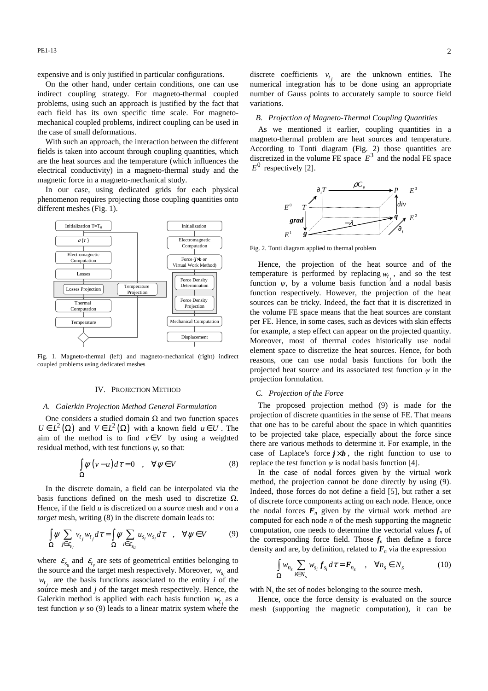PE1-13 2

expensive and is only justified in particular configurations.

On the other hand, under certain conditions, one can use indirect coupling strategy. For magneto-thermal coupled problems, using such an approach is justified by the fact that each field has its own specific time scale. For magnetomechanical coupled problems, indirect coupling can be used in the case of small deformations.

With such an approach, the interaction between the different fields is taken into account through coupling quantities, which are the heat sources and the temperature (which influences the electrical conductivity) in a magneto-thermal study and the magnetic force in a magneto-mechanical study.

In our case, using dedicated grids for each physical phenomenon requires projecting those coupling quantities onto different meshes (Fig. 1).



Fig. 1. Magneto-thermal (left) and magneto-mechanical (right) indirect coupled problems using dedicated meshes

#### IV. PROJECTION METHOD

#### *A. Galerkin Projection Method General Formulation*

One considers a studied domain  $Ω$  and two function spaces  $U \in L^2(\Omega)$  and  $V \in L^2(\Omega)$  with a known field  $u \in U$ . The aim of the method is to find  $v \in V$  by using a weighted residual method, with test functions  $\psi$ , so that:

$$
\int_{\Omega} \psi(v - u) d\tau = 0 \quad , \quad \forall \psi \in V \tag{8}
$$

In the discrete domain, a field can be interpolated via the basis functions defined on the mesh used to discretize  $\Omega$ . Hence, if the field *u* is discretized on a *source* mesh and *v* on a *target* mesh, writing (8) in the discrete domain leads to:

$$
\int_{\Omega} \psi \sum_{j \in \mathcal{E}_{t_v}} v_{t_j} w_{t_j} d\tau = \int_{\Omega} \psi \sum_{i \in \mathcal{E}_{s_u}} u_{s_i} w_{s_i} d\tau \quad , \quad \forall \psi \in V \tag{9}
$$

where  $\varepsilon_{s_u}$  and  $\varepsilon_{t_v}$  are sets of geometrical entities belonging to the source and the target mesh respectively. Moreover,  $w_{s_i}$  and source mesh and *j* of the target mesh respectively. Hence, the  $w_{t_i}$  are the basis functions associated to the entity *i* of the Galerkin method is applied with each basis function  $w_t$  as a test function  $\psi$  so (9) leads to a linear matrix system where the

discrete coefficients  $v_{t_j}$  are the unknown entities. The numerical integration has to be done using an appropriate number of Gauss points to accurately sample to source field variations.

### *B. Projection of Magneto-Thermal Coupling Quantities*

As we mentioned it earlier, coupling quantities in a magneto-thermal problem are heat sources and temperature. According to Tonti diagram (Fig. 2) those quantities are discretized in the volume FE space  $E^3$  and the nodal FE space  $E^0$  respectively [2].



Fig. 2. Tonti diagram applied to thermal problem

Hence, the projection of the heat source and of the temperature is performed by replacing  $w_{t_i}$ , and so the test function  $\psi$ , by a volume basis function and a nodal basis function respectively. However, the projection of the heat sources can be tricky. Indeed, the fact that it is discretized in the volume FE space means that the heat sources are constant per FE. Hence, in some cases, such as devices with skin effects for example, a step effect can appear on the projected quantity. Moreover, most of thermal codes historically use nodal element space to discretize the heat sources. Hence, for both reasons, one can use nodal basis functions for both the projected heat source and its associated test function  $\psi$  in the projection formulation.

## *C. Projection of the Force*

The proposed projection method (9) is made for the projection of discrete quantities in the sense of FE. That means that one has to be careful about the space in which quantities to be projected take place, especially about the force since there are various methods to determine it. For example, in the case of Laplace's force  $j \times b$ , the right function to use to replace the test function  $\psi$  is nodal basis function [4].

In the case of nodal forces given by the virtual work method, the projection cannot be done directly by using (9). Indeed, those forces do not define a field [5], but rather a set of discrete force components acting on each node. Hence, once the nodal forces  $F_n$  given by the virtual work method are computed for each node *n* of the mesh supporting the magnetic computation, one needs to determine the vectorial values  $f_n$  of the corresponding force field. Those  $f_n$  then define a force density and are, by definition, related to  $F<sub>n</sub>$  via the expression

$$
\int_{\Omega} w_{n_s} \sum_{i \in N_s} w_{s_i} f_{s_i} d\tau = F_{n_s} \quad , \quad \forall n_s \in N_s \tag{10}
$$

with  $N_s$  the set of nodes belonging to the source mesh.

Hence, once the force density is evaluated on the source mesh (supporting the magnetic computation), it can be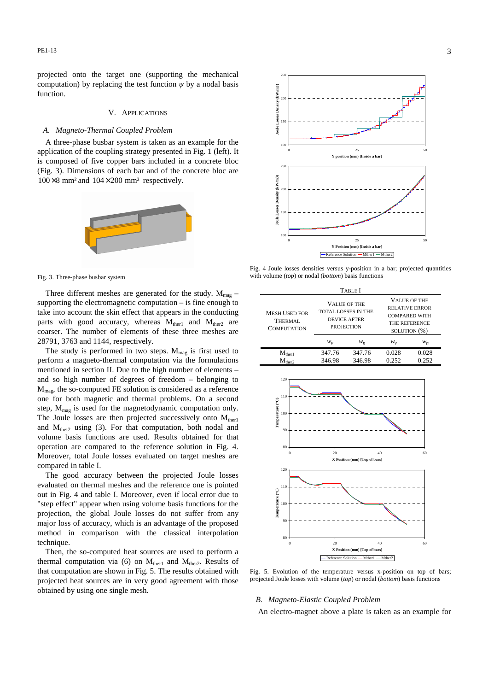projected onto the target one (supporting the mechanical computation) by replacing the test function  $\psi$  by a nodal basis function.

# V. APPLICATIONS

## *A. Magneto-Thermal Coupled Problem*

A three-phase busbar system is taken as an example for the application of the coupling strategy presented in Fig. 1 (left). It is composed of five copper bars included in a concrete bloc (Fig. 3). Dimensions of each bar and of the concrete bloc are  $100 \times 8$  mm<sup>2</sup> and  $104 \times 200$  mm<sup>2</sup> respectively.



Fig. 3. Three-phase busbar system

Three different meshes are generated for the study.  $M_{\text{mag}}$  – supporting the electromagnetic computation – is fine enough to take into account the skin effect that appears in the conducting parts with good accuracy, whereas  $M<sub>ther1</sub>$  and  $M<sub>ther2</sub>$  are coarser. The number of elements of these three meshes are 28791, 3763 and 1144, respectively.

The study is performed in two steps.  $M_{\text{mag}}$  is first used to perform a magneto-thermal computation via the formulations mentioned in section II. Due to the high number of elements – and so high number of degrees of freedom – belonging to Mmag, the so-computed FE solution is considered as a reference one for both magnetic and thermal problems. On a second step,  $M_{\text{mag}}$  is used for the magnetodynamic computation only. The Joule losses are then projected successively onto  $M_{ther1}$ and  $M<sub>ther2</sub>$  using (3). For that computation, both nodal and volume basis functions are used. Results obtained for that operation are compared to the reference solution in Fig. 4. Moreover, total Joule losses evaluated on target meshes are compared in table I.

The good accuracy between the projected Joule losses evaluated on thermal meshes and the reference one is pointed out in Fig. 4 and table I. Moreover, even if local error due to "step effect" appear when using volume basis functions for the projection, the global Joule losses do not suffer from any major loss of accuracy, which is an advantage of the proposed method in comparison with the classical interpolation technique.

Then, the so-computed heat sources are used to perform a thermal computation via (6) on  $M_{ther1}$  and  $M_{ther2}$ . Results of that computation are shown in Fig. 5. The results obtained with projected heat sources are in very good agreement with those obtained by using one single mesh.



Fig. 4 Joule losses densities versus y-position in a bar; projected quantities with volume (*top*) or nodal (*bottom*) basis functions

| TABLE I                                               |                                                                                 |                  |                                                                                                       |                |
|-------------------------------------------------------|---------------------------------------------------------------------------------|------------------|-------------------------------------------------------------------------------------------------------|----------------|
| <b>MESH USED FOR</b><br>THERMAL<br><b>COMPUTATION</b> | <b>VALUE OF THE</b><br>TOTAL LOSSES IN THE<br>DEVICE AFTER<br><b>PROJECTION</b> |                  | <b>VALUE OF THE</b><br><b>RELATIVE ERROR</b><br><b>COMPARED WITH</b><br>THE REFERENCE<br>SOLUTION (%) |                |
|                                                       | $W_{\nu}$                                                                       | $W_n$            | w.,                                                                                                   | $W_n$          |
| $M_{ther1}$<br>$M_{\rm ther2}$                        | 347.76<br>346.98                                                                | 347.76<br>346.98 | 0.028<br>0.252                                                                                        | 0.028<br>0.252 |
|                                                       |                                                                                 |                  |                                                                                                       |                |



Fig. 5. Evolution of the temperature versus x-position on top of bars; projected Joule losses with volume (*top*) or nodal (*bottom*) basis functions

#### *B. Magneto-Elastic Coupled Problem*

An electro-magnet above a plate is taken as an example for